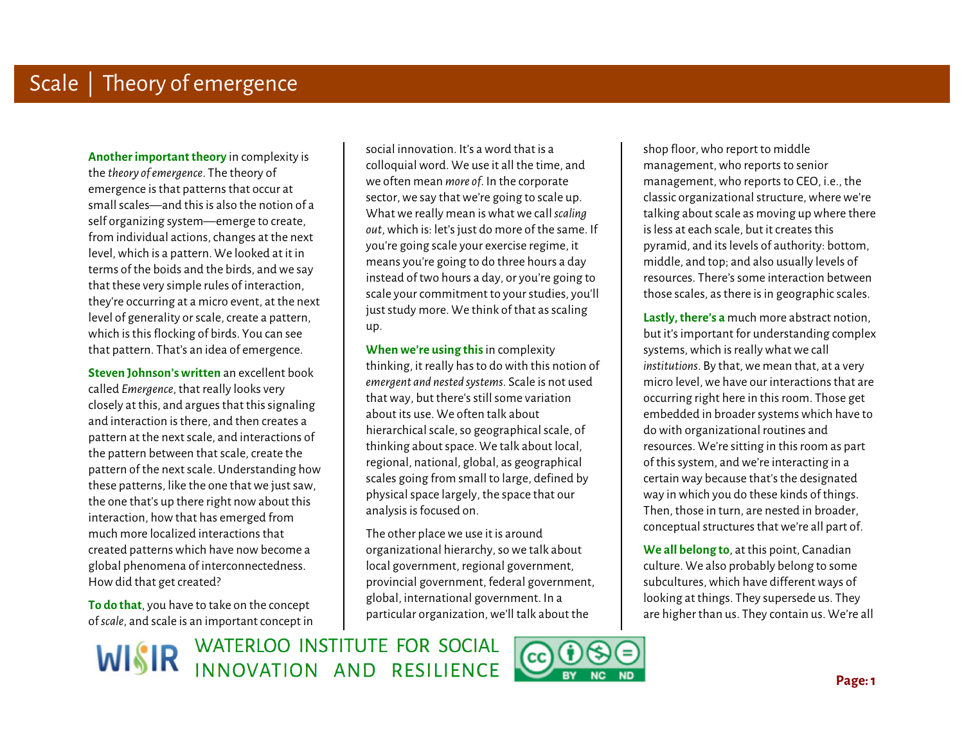**Another important theory** in complexity is the *theory of emergence*. The theory of emergence is that patterns that occur at small scales—and this is also the notion of a self organizing system—emerge to create, from individual actions, changes at the next level, which is a pattern. We looked at it in terms of the boids and the birds, and we say that these very simple rules of interaction, they're occurring at a micro event, at the next level of generality or scale, create a pattern, which is this flocking of birds. You can see that pattern. That's an idea of emergence.

Ì **Steven Johnson's written** an excellent book called *Emergence*, that really looks very closely at this, and argues that this signaling and interaction is there, and then creates a pattern at the next scale, and interactions of the pattern between that scale, create the pattern of the next scale. Understanding how these patterns, like the one that we just saw, the one that's up there right now about this interaction, how that has emerged from much more localized interactions that created patterns which have now become a global phenomena of interconnectedness. How did that get created?

**To do that**, you have to take on the concept of *scale*, and scale is an important concept in

social innovation. It's a word that is a colloquial word. We use it all the time, and we often mean *more of*. In the corporate sector, we say that we're going to scale up. What we really mean is what we call *scaling out*, which is: let's just do more of the same. If you're going scale your exercise regime, it means you're going to do three hours a day instead of two hours a day, or you're going to scale your commitment to your studies, you'll just study more. We think of that as scaling up.

 **When we're using this** in complexity thinking, it really has to do with this notion of *emergent and nested systems*. Scale is not used that way, but there's still some variation about its use. We often talk about hierarchical scale, so geographical scale, of thinking about space. We talk about local, regional, national, global, as geographical scales going from small to large, defined by physical space largely, the space that our analysis is focused on.

 The other place we use it is around organizational hierarchy, so we talk about local government, regional government, provincial government, federal government, global, international government. In a particular organization, we'll talk about the

 shop floor, who report to middle management, who reports to senior management, who reports to CEO, i.e., the classic organizational structure, where we're talking about scale as moving up where there is less at each scale, but it creates this pyramid, and its levels of authority: bottom, middle, and top; and also usually levels of resources. There's some interaction between those scales, as there is in geographic scales.

 **Lastly, there's a** much more abstract notion, but it's important for understanding complex systems, which is really what we call *institutions*. By that, we mean that, at a very micro level, we have our interactions that are occurring right here in this room. Those get embedded in broader systems which have to do with organizational routines and resources. We're sitting in this room as part of this system, and we're interacting in a certain way because that's the designated way in which you do these kinds of things. Then, those in turn, are nested in broader, conceptual structures that we're all part of.

**We all belong to**, at this point, Canadian culture. We also probably belong to some subcultures, which have different ways of looking at things. They supersede us. They are higher than us. They contain us. We're all

WISIR WATERLOO INSTITUTE FOR SOCIAL